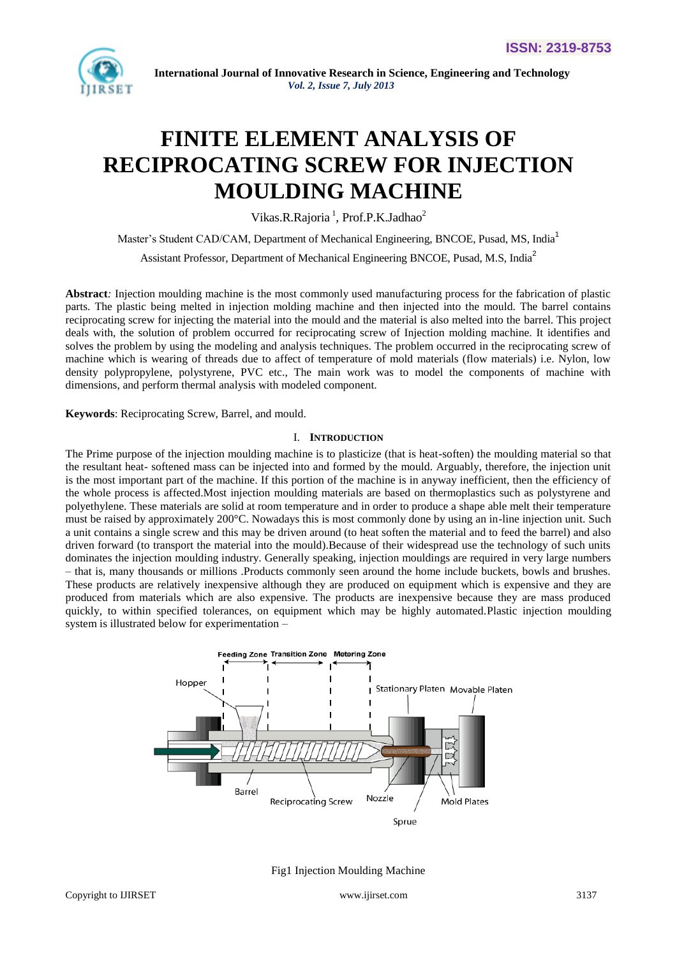

# **FINITE ELEMENT ANALYSIS OF RECIPROCATING SCREW FOR INJECTION MOULDING MACHINE**

Vikas.R.Rajoria<sup>1</sup>, Prof.P.K.Jadhao<sup>2</sup>

Master's Student CAD/CAM, Department of Mechanical Engineering, BNCOE, Pusad, MS, India<sup>1</sup> Assistant Professor, Department of Mechanical Engineering BNCOE, Pusad, M.S, India<sup>2</sup>

**Abstract***:* Injection moulding machine is the most commonly used manufacturing process for the fabrication of plastic parts. The plastic being melted in injection molding machine and then injected into the mould. The barrel contains reciprocating screw for injecting the material into the mould and the material is also melted into the barrel. This project deals with, the solution of problem occurred for reciprocating screw of Injection molding machine. It identifies and solves the problem by using the modeling and analysis techniques. The problem occurred in the reciprocating screw of machine which is wearing of threads due to affect of temperature of mold materials (flow materials) i.e. Nylon, low density polypropylene, polystyrene, PVC etc., The main work was to model the components of machine with dimensions, and perform thermal analysis with modeled component.

**Keywords**: Reciprocating Screw, Barrel, and mould.

#### I. **INTRODUCTION**

The Prime purpose of the injection moulding machine is to plasticize (that is heat-soften) the moulding material so that the resultant heat- softened mass can be injected into and formed by the mould. Arguably, therefore, the injection unit is the most important part of the machine. If this portion of the machine is in anyway inefficient, then the efficiency of the whole process is affected.Most injection moulding materials are based on thermoplastics such as polystyrene and polyethylene. These materials are solid at room temperature and in order to produce a shape able melt their temperature must be raised by approximately 200°C. Nowadays this is most commonly done by using an in-line injection unit. Such a unit contains a single screw and this may be driven around (to heat soften the material and to feed the barrel) and also driven forward (to transport the material into the mould).Because of their widespread use the technology of such units dominates the injection moulding industry. Generally speaking, injection mouldings are required in very large numbers – that is, many thousands or millions .Products commonly seen around the home include buckets, bowls and brushes. These products are relatively inexpensive although they are produced on equipment which is expensive and they are produced from materials which are also expensive. The products are inexpensive because they are mass produced quickly, to within specified tolerances, on equipment which may be highly automated.Plastic injection moulding system is illustrated below for experimentation –



Fig1 Injection Moulding Machine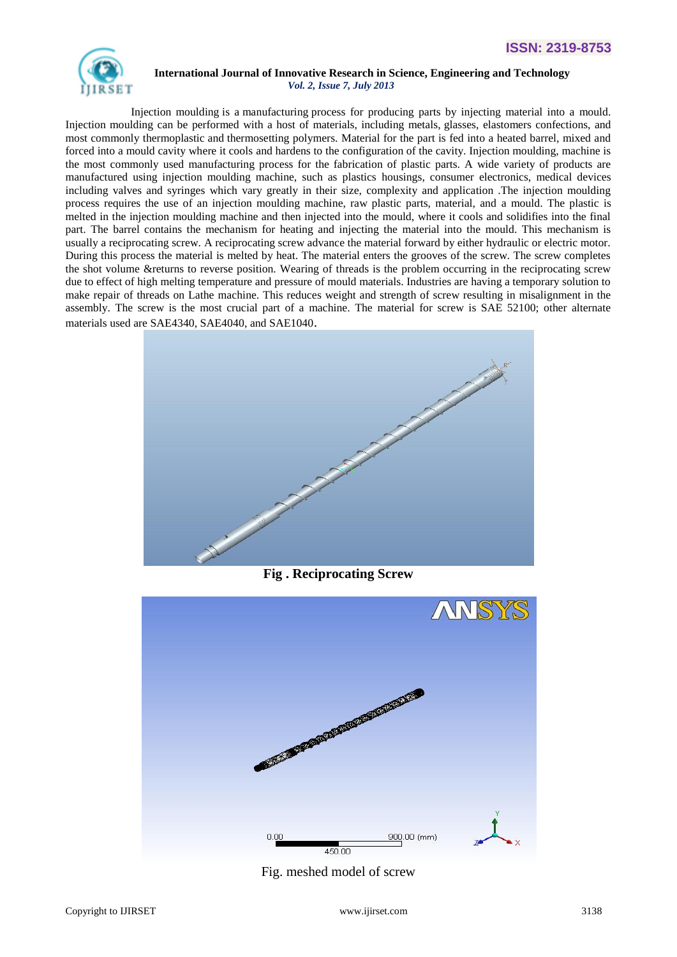

 Injection moulding is a manufacturing process for producing parts by injecting material into a mould. Injection moulding can be performed with a host of materials, including metals, glasses, elastomers confections, and most commonly thermoplastic and thermosetting polymers. Material for the part is fed into a heated barrel, mixed and forced into a mould cavity where it cools and hardens to the configuration of the cavity. Injection moulding, machine is the most commonly used manufacturing process for the fabrication of plastic parts. A wide variety of products are manufactured using injection moulding machine, such as plastics housings, consumer electronics, medical devices including valves and syringes which vary greatly in their size, complexity and application .The injection moulding process requires the use of an injection moulding machine, raw plastic parts, material, and a mould. The plastic is melted in the injection moulding machine and then injected into the mould, where it cools and solidifies into the final part. The barrel contains the mechanism for heating and injecting the material into the mould. This mechanism is usually a reciprocating screw. A reciprocating screw advance the material forward by either hydraulic or electric motor. During this process the material is melted by heat. The material enters the grooves of the screw. The screw completes the shot volume &returns to reverse position. Wearing of threads is the problem occurring in the reciprocating screw due to effect of high melting temperature and pressure of mould materials. Industries are having a temporary solution to make repair of threads on Lathe machine. This reduces weight and strength of screw resulting in misalignment in the assembly. The screw is the most crucial part of a machine. The material for screw is SAE 52100; other alternate materials used are SAE4340, SAE4040, and SAE1040.



**Fig . Reciprocating Screw**



Fig. meshed model of screw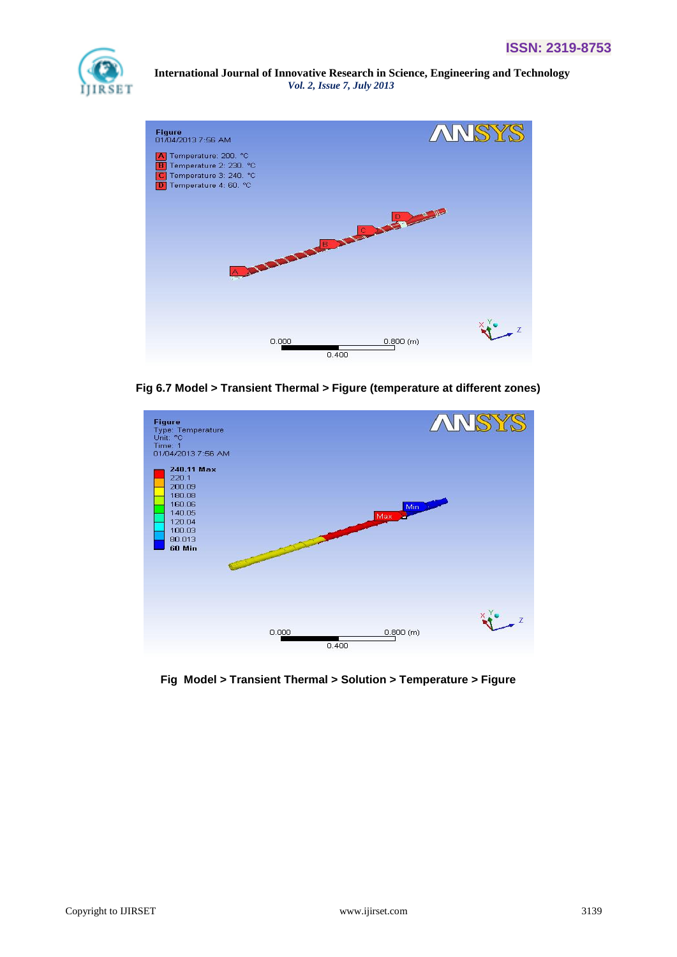



**Fig 6.7 Model > Transient Thermal > Figure (temperature at different zones)**



**Fig Model > Transient Thermal > Solution > Temperature > Figure**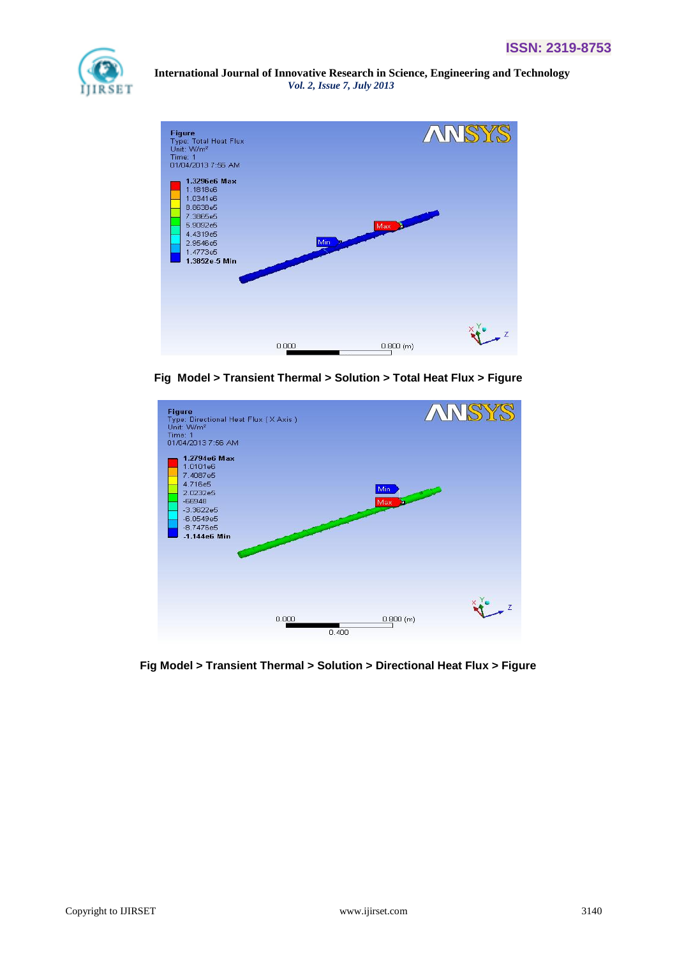



**Fig Model > Transient Thermal > Solution > Total Heat Flux > Figure**



**Fig Model > Transient Thermal > Solution > Directional Heat Flux > Figure**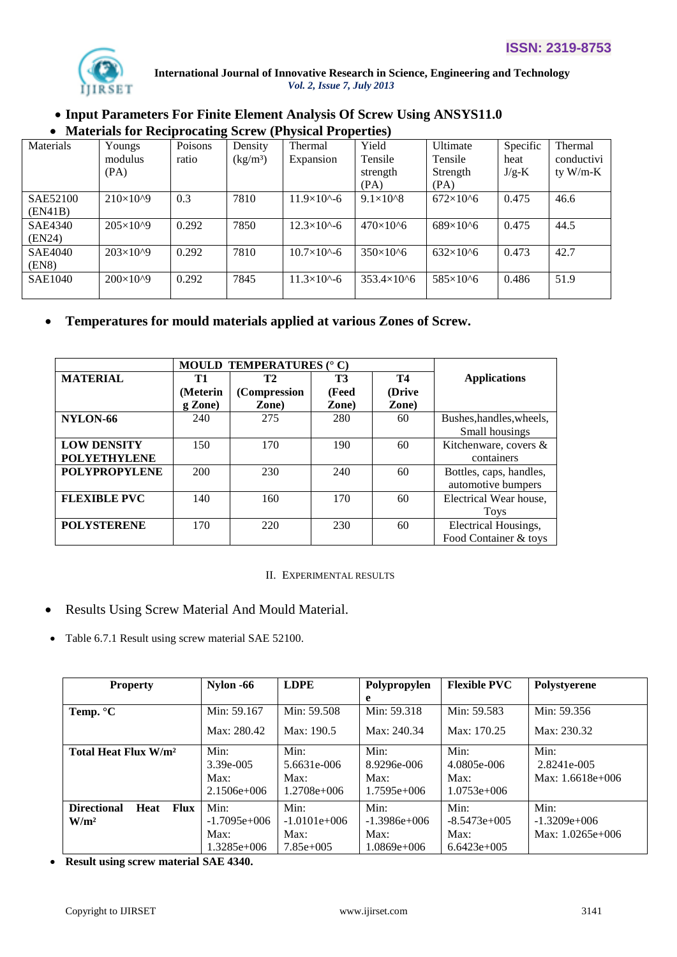

# **Input Parameters For Finite Element Analysis Of Screw Using ANSYS11.0 Materials for Reciprocating Screw (Physical Properties)**

|                | $P_{\text{H}}$ and $P_{\text{H}}$ are $P_{\text{H}}$ and $P_{\text{H}}$ and $P_{\text{H}}$ are $P_{\text{H}}$ and $P_{\text{H}}$ are $P_{\text{H}}$ |         |                                |                        |                     |                   |          |            |
|----------------|-----------------------------------------------------------------------------------------------------------------------------------------------------|---------|--------------------------------|------------------------|---------------------|-------------------|----------|------------|
| Materials      | Youngs                                                                                                                                              | Poisons | Density                        | Thermal                | Yield               | Ultimate          | Specific | Thermal    |
|                | modulus                                                                                                                                             | ratio   | $\frac{\text{kg}}{\text{m}^3}$ | Expansion              | Tensile             | Tensile           | heat     | conductivi |
|                | (PA)                                                                                                                                                |         |                                |                        | strength            | Strength          | $J/g-K$  | ty $W/m-K$ |
|                |                                                                                                                                                     |         |                                |                        | (PA)                | (PA)              |          |            |
| SAE52100       | $210\times10^{9}$                                                                                                                                   | 0.3     | 7810                           | $11.9\times10^{6} - 6$ | $9.1\times10^{8}$   | $672\times10^{6}$ | 0.475    | 46.6       |
| (EN41B)        |                                                                                                                                                     |         |                                |                        |                     |                   |          |            |
| SAE4340        | $205\times10^{6}$                                                                                                                                   | 0.292   | 7850                           | $12.3\times10^{6} - 6$ | $470\times10^{6}$   | $689\times10^{6}$ | 0.475    | 44.5       |
| (EN24)         |                                                                                                                                                     |         |                                |                        |                     |                   |          |            |
| <b>SAE4040</b> | $203\times10^{9}$                                                                                                                                   | 0.292   | 7810                           | $10.7\times10^{6} - 6$ | $350\times10^{6}$   | $632\times10^{6}$ | 0.473    | 42.7       |
| (EN8)          |                                                                                                                                                     |         |                                |                        |                     |                   |          |            |
| <b>SAE1040</b> | $200\times10^{9}$                                                                                                                                   | 0.292   | 7845                           | $11.3\times10^{4} - 6$ | $353.4\times10^{6}$ | $585\times10^{6}$ | 0.486    | 51.9       |
|                |                                                                                                                                                     |         |                                |                        |                     |                   |          |            |

# **Temperatures for mould materials applied at various Zones of Screw.**

|                      |          | <b>MOULD TEMPERATURES (° C)</b> |           |        |                          |
|----------------------|----------|---------------------------------|-----------|--------|--------------------------|
| <b>MATERIAL</b>      | T1       | T2                              | <b>T3</b> | T4     | <b>Applications</b>      |
|                      | (Meterin | (Compression                    | (Feed     | (Drive |                          |
|                      | g Zone)  | Zone)                           | Zone)     | Zone)  |                          |
| NYLON-66             | 240      | 275                             | 280       | 60     | Bushes, handles, wheels, |
|                      |          |                                 |           |        | Small housings           |
| <b>LOW DENSITY</b>   | 150      | 170                             | 190       | 60     | Kitchenware, covers &    |
| <b>POLYETHYLENE</b>  |          |                                 |           |        | containers               |
| <b>POLYPROPYLENE</b> | 200      | 230                             | 240       | 60     | Bottles, caps, handles,  |
|                      |          |                                 |           |        | automotive bumpers       |
| <b>FLEXIBLE PVC</b>  | 140      | 160                             | 170       | 60     | Electrical Wear house,   |
|                      |          |                                 |           |        | <b>Toys</b>              |
| <b>POLYSTERENE</b>   | 170      | 220                             | 230       | 60     | Electrical Housings,     |
|                      |          |                                 |           |        | Food Container & toys    |

II. EXPERIMENTAL RESULTS

# Results Using Screw Material And Mould Material.

Table 6.7.1 Result using screw material SAE 52100.

| <b>Property</b>                           | Nylon -66             | <b>LDPE</b>           | Polypropylen          | <b>Flexible PVC</b>   | Polystyerene        |
|-------------------------------------------|-----------------------|-----------------------|-----------------------|-----------------------|---------------------|
|                                           |                       |                       | e                     |                       |                     |
| Temp. °C                                  | Min: 59.167           | Min: 59.508           | Min: 59.318           | Min: 59.583           | Min: 59.356         |
|                                           | Max: 280.42           | Max: 190.5            | Max: 240.34           | Max: 170.25           | Max: 230.32         |
| Total Heat Flux W/m <sup>2</sup>          | Min:<br>$3.39e - 005$ | Min:<br>5.6631e-006   | Min:<br>8.9296e-006   | Min:<br>4.0805e-006   | Min:<br>2.8241e-005 |
|                                           | Max:<br>$2.1506e+006$ | Max:<br>$1.2708e+006$ | Max:<br>$1.7595e+006$ | Max:<br>$1.0753e+006$ | Max: $1.6618e+006$  |
| <b>Directional</b><br><b>Heat</b><br>Flux | Min:                  | Min:                  | Min:                  | Min:                  | Min:                |
| W/m <sup>2</sup>                          | $-1.7095e+006$        | $-1.0101e+006$        | $-1.3986e+006$        | $-8.5473e+005$        | $-1.3209e+006$      |
|                                           | Max:                  | Max:                  | Max:                  | Max:                  | Max: $1.0265e+006$  |
|                                           | $1.3285e+006$         | $7.85e+005$           | $1.0869e+006$         | $6.6423e+005$         |                     |

**Result using screw material SAE 4340.**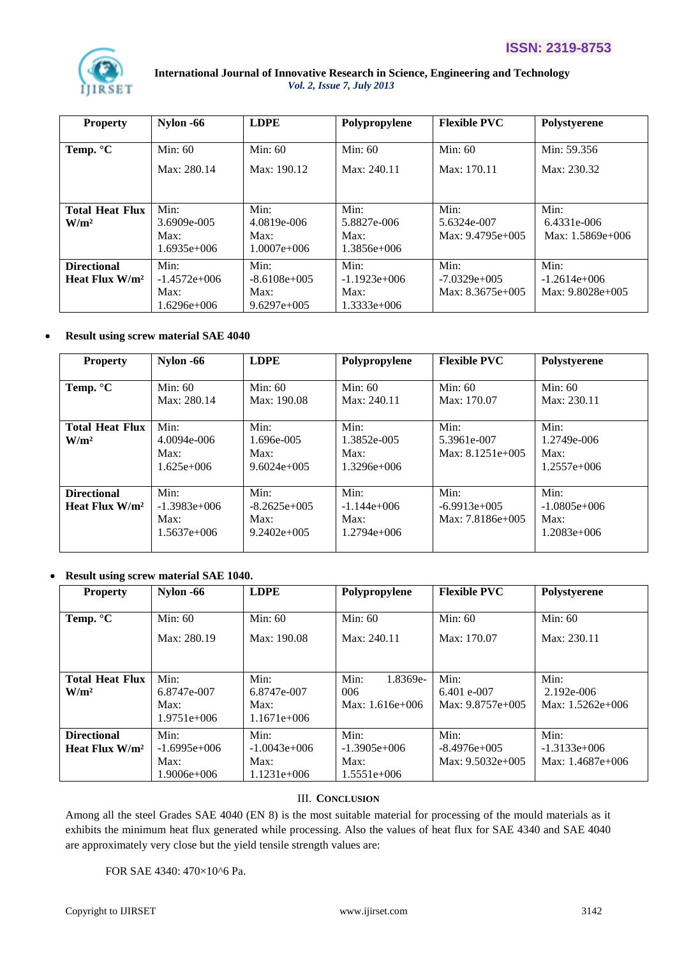| <b>Property</b>                            | Nylon -66                                       | <b>LDPE</b>                                     | Polypropylene                                     | <b>Flexible PVC</b>                          | Polystyerene                                 |
|--------------------------------------------|-------------------------------------------------|-------------------------------------------------|---------------------------------------------------|----------------------------------------------|----------------------------------------------|
| Temp. °C                                   | Min: $60$<br>Max: 280.14                        | Min: $60$<br>Max: 190.12                        | Min: $60$<br>Max: 240.11                          | Min: $60$<br>Max: 170.11                     | Min: 59.356<br>Max: 230.32                   |
| <b>Total Heat Flux</b><br>W/m <sup>2</sup> | Min:<br>3.6909e-005<br>Max:<br>$1.6935e+006$    | Min:<br>4.0819e-006<br>Max:<br>$1.0007e+006$    | Min:<br>5.8827e-006<br>Max:<br>$1.3856e+006$      | Min:<br>5.6324e-007<br>Max: 9.4795e+005      | Min:<br>6.4331e-006<br>Max: $1.5869e+006$    |
| <b>Directional</b><br>Heat Flux $W/m^2$    | Min:<br>$-1.4572e+006$<br>Max:<br>$1.6296e+006$ | Min:<br>$-8.6108e+005$<br>Max:<br>$9.6297e+005$ | Min:<br>$-1.1923e+0.06$<br>Max:<br>$1.3333e+0.06$ | Min:<br>$-7.0329e+005$<br>Max: $8.3675e+005$ | Min:<br>$-1.2614e+006$<br>Max: $9.8028e+005$ |

## **Result using screw material SAE 4040**

| <b>Property</b>                            | Nylon -66                                        | <b>LDPE</b>                                      | Polypropylene                                  | <b>Flexible PVC</b>                          | Polystyerene                                    |
|--------------------------------------------|--------------------------------------------------|--------------------------------------------------|------------------------------------------------|----------------------------------------------|-------------------------------------------------|
| Temp. $\mathrm{C}$                         | Min: $60$<br>Max: 280.14                         | Min: $60$<br>Max: 190.08                         | Min: $60$<br>Max: 240.11                       | Min: $60$<br>Max: 170.07                     | Min: $60$<br>Max: 230.11                        |
| <b>Total Heat Flux</b><br>W/m <sup>2</sup> | Min:<br>$4.0094e - 006$<br>Max:<br>$1.625e+0.06$ | Min:<br>1.696e-005<br>Max:<br>$9.6024e+005$      | Min:<br>1.3852e-005<br>Max:<br>$1.3296e+006$   | Min:<br>5.3961e-007<br>Max: $8.1251e+005$    | Min:<br>1.2749e-006<br>Max:<br>$1.2557e+006$    |
| <b>Directional</b><br>Heat Flux $W/m^2$    | Min:<br>$-1.3983e+006$<br>Max:<br>$1.5637e+006$  | Min:<br>$-8.2625e+005$<br>Max:<br>$9.2402e+0.05$ | Min:<br>$-1.144e+006$<br>Max:<br>$1.2794e+006$ | Min:<br>$-6.9913e+005$<br>$Max: 7.8186e+005$ | Min:<br>$-1.0805e+006$<br>Max:<br>$1.2083e+006$ |

## **Result using screw material SAE 1040.**

| <b>Property</b>                            | Nylon -66                                     | <b>LDPE</b>                                     | Polypropylene                                   | <b>Flexible PVC</b>                          | Polystyerene                                  |
|--------------------------------------------|-----------------------------------------------|-------------------------------------------------|-------------------------------------------------|----------------------------------------------|-----------------------------------------------|
| Temp. $\mathrm{C}$                         | Min: $60$<br>Max: 280.19                      | Min: 60<br>Max: 190.08                          | Min: $60$<br>Max: 240.11                        | Min: $60$<br>Max: 170.07                     | Min: $60$<br>Max: 230.11                      |
| <b>Total Heat Flux</b><br>W/m <sup>2</sup> | Min:<br>6.8747e-007<br>Max:<br>$1.9751e+006$  | Min:<br>6.8747e-007<br>Max:<br>$1.1671e+006$    | Min:<br>1.8369e-<br>006<br>Max: $1.616e+006$    | Min:<br>$6.401$ e-007<br>Max: $9.8757e+005$  | Min:<br>2.192e-006<br>Max: $1.5262e+006$      |
| <b>Directional</b><br>Heat Flux $W/m^2$    | Min:<br>$-1.6995e+006$<br>Max:<br>1.9006e+006 | Min:<br>$-1.0043e+006$<br>Max:<br>$1.1231e+006$ | Min:<br>$-1.3905e+006$<br>Max:<br>$1.5551e+006$ | Min:<br>$-8.4976e+005$<br>Max: $9.5032e+005$ | Min:<br>$-1.3133e+0.06$<br>Max: $1.4687e+006$ |

### III. **CONCLUSION**

Among all the steel Grades SAE 4040 (EN 8) is the most suitable material for processing of the mould materials as it exhibits the minimum heat flux generated while processing. Also the values of heat flux for SAE 4340 and SAE 4040 are approximately very close but the yield tensile strength values are:

FOR SAE 4340: 470×10^6 Pa.